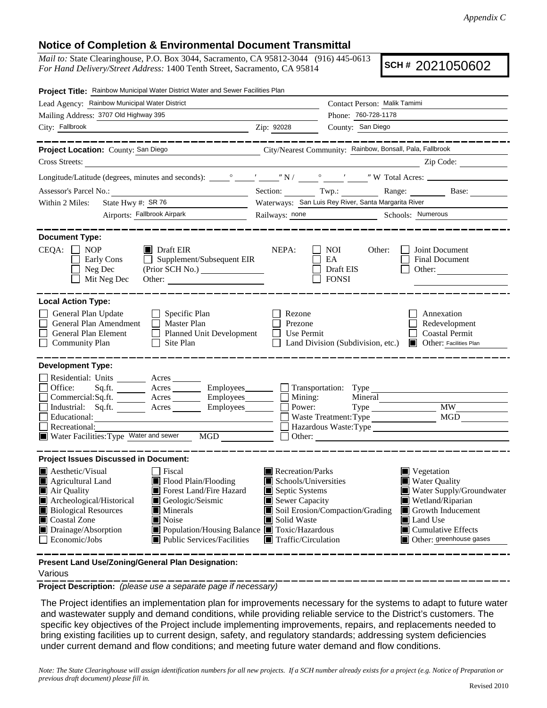## **Notice of Completion & Environmental Document Transmittal**

*Mail to:* State Clearinghouse, P.O. Box 3044, Sacramento, CA 95812-3044 (916) 445-0613 *For Hand Delivery/Street Address:* 1400 Tenth Street, Sacramento, CA 95814

**SCH #** 2021050602

| Project Title: Rainbow Municipal Water District Water and Sewer Facilities Plan                                                                                                        |                                                                                                                                                                                                                                                                                                                                                                |                                                                                                                                   |                                                                     |                                                                                                                                                                                                                                                                                                  |  |  |
|----------------------------------------------------------------------------------------------------------------------------------------------------------------------------------------|----------------------------------------------------------------------------------------------------------------------------------------------------------------------------------------------------------------------------------------------------------------------------------------------------------------------------------------------------------------|-----------------------------------------------------------------------------------------------------------------------------------|---------------------------------------------------------------------|--------------------------------------------------------------------------------------------------------------------------------------------------------------------------------------------------------------------------------------------------------------------------------------------------|--|--|
| Lead Agency: Rainbow Municipal Water District                                                                                                                                          |                                                                                                                                                                                                                                                                                                                                                                | Contact Person: Malik Tamimi                                                                                                      |                                                                     |                                                                                                                                                                                                                                                                                                  |  |  |
| Mailing Address: 3707 Old Highway 395                                                                                                                                                  |                                                                                                                                                                                                                                                                                                                                                                |                                                                                                                                   | Phone: 760-728-1178                                                 |                                                                                                                                                                                                                                                                                                  |  |  |
| City: Fallbrook<br><u> 1989 - Johann Barn, mars ann an t-Amhair an t-Amhair an t-Amhair an t-Amhair an t-Amhair an t-Amhair an t-Amh</u>                                               |                                                                                                                                                                                                                                                                                                                                                                | Zip: 92028                                                                                                                        | County: San Diego                                                   |                                                                                                                                                                                                                                                                                                  |  |  |
| Project Location: County: San Diego                                                                                                                                                    | ------------<br>City/Nearest Community: Rainbow, Bonsall, Pala, Fallbrook                                                                                                                                                                                                                                                                                      |                                                                                                                                   |                                                                     | ________                                                                                                                                                                                                                                                                                         |  |  |
| Cross Streets:                                                                                                                                                                         | <u> 1989 - Jan Stein Stein Stein Stein Stein Stein Stein Stein Stein Stein Stein Stein Stein Stein Stein Stein S</u>                                                                                                                                                                                                                                           |                                                                                                                                   |                                                                     | $\sum_{i=1}^{n}$ $\sum_{i=1}^{n}$ $\sum_{i=1}^{n}$ $\sum_{i=1}^{n}$ $\sum_{i=1}^{n}$ $\sum_{i=1}^{n}$ $\sum_{i=1}^{n}$ $\sum_{i=1}^{n}$ $\sum_{i=1}^{n}$ $\sum_{i=1}^{n}$ $\sum_{i=1}^{n}$ $\sum_{i=1}^{n}$ $\sum_{i=1}^{n}$ $\sum_{i=1}^{n}$ $\sum_{i=1}^{n}$ $\sum_{i=1}^{n}$ $\sum_{i=1}^{n}$ |  |  |
|                                                                                                                                                                                        |                                                                                                                                                                                                                                                                                                                                                                |                                                                                                                                   |                                                                     |                                                                                                                                                                                                                                                                                                  |  |  |
|                                                                                                                                                                                        |                                                                                                                                                                                                                                                                                                                                                                |                                                                                                                                   |                                                                     | Section: Twp.: Range: Base:                                                                                                                                                                                                                                                                      |  |  |
| State Hwy #: SR 76<br><u> 1990 - Jan Barbara III, prima postala prima prima prima prima prima prima prima prima prima prima prima prim</u><br>Within 2 Miles:                          |                                                                                                                                                                                                                                                                                                                                                                | Waterways: San Luis Rey River, Santa Margarita River                                                                              |                                                                     |                                                                                                                                                                                                                                                                                                  |  |  |
| Airports: Fallbrook Airpark                                                                                                                                                            |                                                                                                                                                                                                                                                                                                                                                                | Railways: none Schools: Numerous                                                                                                  |                                                                     |                                                                                                                                                                                                                                                                                                  |  |  |
| <b>Document Type:</b><br>$CEQA: \Box NOP$<br>Early Cons<br>Neg Dec<br>Mit Neg Dec                                                                                                      | $\blacksquare$ Draft EIR<br>Supplement/Subsequent EIR<br>$\perp$<br>(Prior SCH No.)                                                                                                                                                                                                                                                                            | NEPA:                                                                                                                             | NOI<br>Other:<br>EA<br>Draft EIS<br><b>FONSI</b>                    | Joint Document<br><b>Final Document</b><br>Other:                                                                                                                                                                                                                                                |  |  |
| <b>Local Action Type:</b><br>General Plan Update<br>General Plan Amendment<br>General Plan Element<br><b>Community Plan</b>                                                            | $\Box$ Specific Plan<br>Master Plan<br>Planned Unit Development<br>$\Box$ Site Plan                                                                                                                                                                                                                                                                            | Rezone<br>Prezone<br>$\Box$ Use Permit                                                                                            |                                                                     | Annexation<br>Redevelopment<br><b>Coastal Permit</b><br>Land Division (Subdivision, etc.) <b>I</b> Other: Facilities Plan                                                                                                                                                                        |  |  |
| <b>Development Type:</b><br>Residential: Units ________ Acres _______<br>Office:<br>Educational:<br>Recreational:                                                                      | Sq.ft. ________ Acres _________ Employees _______ __ Transportation: Type _____<br>$Commetrical:$ Sq.ft. $\overline{\qquad}$ Acres $\overline{\qquad}$ Employees $\overline{\qquad}$ Mining:<br>Industrial: Sq.ft. _______ Acres ________ Employees_______<br><u> 1989 - Johann Stein, mars et al. (b. 1989)</u><br>Water Facilities: Type Water and sewer MGD | Power:                                                                                                                            | Mineral<br>Waste Treatment: Type<br>Hazardous Waste: Type<br>Other: | <b>MW</b><br>MGD                                                                                                                                                                                                                                                                                 |  |  |
| <b>Project Issues Discussed in Document:</b>                                                                                                                                           |                                                                                                                                                                                                                                                                                                                                                                |                                                                                                                                   |                                                                     |                                                                                                                                                                                                                                                                                                  |  |  |
| $\blacksquare$ Aesthetic/Visual<br>Agricultural Land<br>Air Quality<br>Archeological/Historical<br><b>Biological Resources</b><br>Coastal Zone<br>Drainage/Absorption<br>Economic/Jobs | <b>Fiscal</b><br>Flood Plain/Flooding<br>Forest Land/Fire Hazard<br>Geologic/Seismic<br>Minerals<br>H<br>Noise<br>■ Population/Housing Balance ■ Toxic/Hazardous<br>$\blacksquare$ Public Services/Facilities                                                                                                                                                  | Recreation/Parks<br>Schools/Universities<br>Septic Systems<br>Sewer Capacity<br>Solid Waste<br>$\blacksquare$ Traffic/Circulation | Soil Erosion/Compaction/Grading                                     | $\blacksquare$ Vegetation<br><b>Water Quality</b><br>Water Supply/Groundwater<br>Wetland/Riparian<br>$\blacksquare$ Growth Inducement<br>Land Use<br>$\blacksquare$ Cumulative Effects<br>Other: greenhouse gases                                                                                |  |  |
| Present Land Use/Zoning/General Plan Designation:                                                                                                                                      |                                                                                                                                                                                                                                                                                                                                                                |                                                                                                                                   |                                                                     |                                                                                                                                                                                                                                                                                                  |  |  |

Various

**Project Description:** *(please use a separate page if necessary)*

 The Project identifies an implementation plan for improvements necessary for the systems to adapt to future water and wastewater supply and demand conditions, while providing reliable service to the District's customers. The specific key objectives of the Project include implementing improvements, repairs, and replacements needed to bring existing facilities up to current design, safety, and regulatory standards; addressing system deficiencies under current demand and flow conditions; and meeting future water demand and flow conditions.

*Note: The State Clearinghouse will assign identification numbers for all new projects. If a SCH number already exists for a project (e.g. Notice of Preparation or previous draft document) please fill in.*